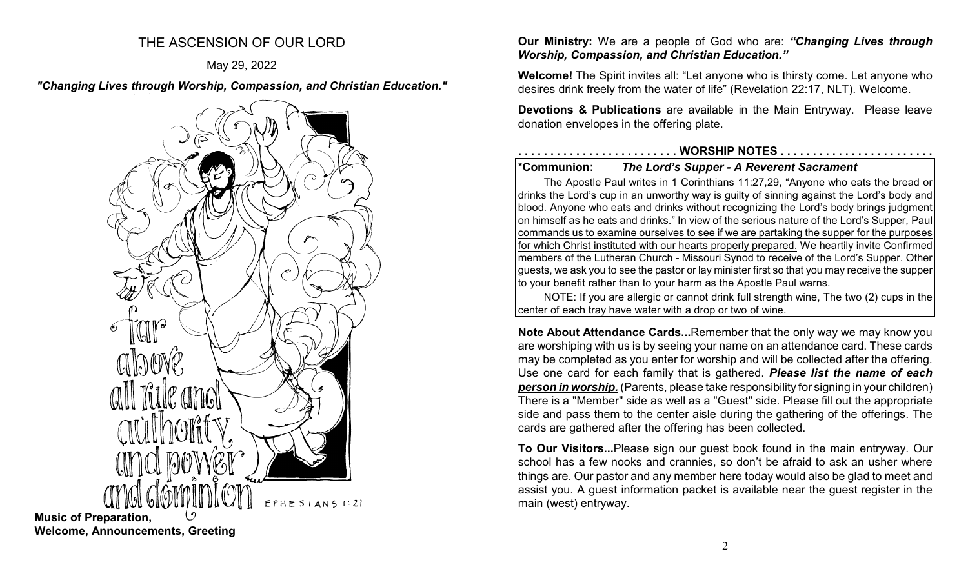# THE ASCENSION OF OUR LORD

# May 29, 2022

*"Changing Lives through Worship, Compassion, and Christian Education."*



**Music of Preparation, Welcome, Announcements, Greeting**

**Our Ministry:** We are a people of God who are: *"Changing Lives through Worship, Compassion, and Christian Education."*

**Welcome!** The Spirit invites all: "Let anyone who is thirsty come. Let anyone who desires drink freely from the water of life" (Revelation 22:17, NLT). Welcome.

**Devotions & Publications** are available in the Main Entryway. Please leave donation envelopes in the offering plate.

# **. . . . . . . . . . . . . . . . . . . . . . . . . WORSHIP NOTES . . . . . . . . . . . . . . . . . . . . . . . .**

# **\*Communion:** *The Lord's Supper - A Reverent Sacrament*

to your benefit rather than to your harm as the Apostle Paul warns.

The Apostle Paul writes in 1 Corinthians 11:27,29, "Anyone who eats the bread or drinks the Lord's cup in an unworthy way is guilty of sinning against the Lord's body and blood. Anyone who eats and drinks without recognizing the Lord's body brings judgment on himself as he eats and drinks." In view of the serious nature of the Lord's Supper, Paul commands us to examine ourselves to see if we are partaking the supper for the purposes for which Christ instituted with our hearts properly prepared. We heartily invite Confirmed members of the Lutheran Church - Missouri Synod to receive of the Lord's Supper. Other guests, we ask you to see the pastor or lay minister first so that you may receive the supper

NOTE: If you are allergic or cannot drink full strength wine, The two (2) cups in the center of each tray have water with a drop or two of wine.

**Note About Attendance Cards...**Remember that the only way we may know you are worshiping with us is by seeing your name on an attendance card. These cards may be completed as you enter for worship and will be collected after the offering. Use one card for each family that is gathered. *Please list the name of each person in worship.* (Parents, please take responsibility for signing in your children) There is a "Member" side as well as a "Guest" side. Please fill out the appropriate side and pass them to the center aisle during the gathering of the offerings. The cards are gathered after the offering has been collected.

**To Our Visitors...**Please sign our guest book found in the main entryway. Our school has a few nooks and crannies, so don't be afraid to ask an usher where things are. Our pastor and any member here today would also be glad to meet and assist you. A guest information packet is available near the guest register in the main (west) entryway.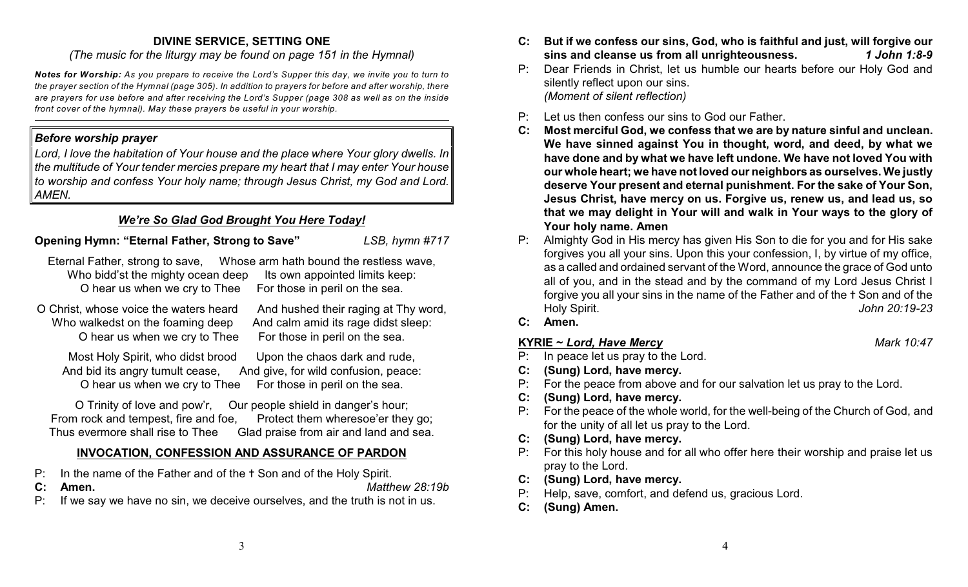# **DIVINE SERVICE, SETTING ONE**

*(The music for the liturgy may be found on page 151 in the Hymnal)*

*Notes for Worship: As you prepare to receive the Lord's Supper this day, we invite you to turn to the prayer section of the Hymnal (page 305). In addition to prayers for before and after worship, there are prayers for use before and after receiving the Lord's Supper (page 308 as well as on the inside front cover of the hymnal). May these prayers be useful in your worship.*

# *Before worship prayer*

*Lord, I love the habitation of Your house and the place where Your glory dwells. In the multitude of Your tender mercies prepare my heart that I may enter Your house to worship and confess Your holy name; through Jesus Christ, my God and Lord. AMEN.*

# *We're So Glad God Brought You Here Today!*

# **Opening Hymn: "Eternal Father, Strong to Save"** *LSB, hymn #717*

| Eternal Father, strong to save,                                  | Whose arm hath bound the restless wave, |
|------------------------------------------------------------------|-----------------------------------------|
| Who bidd'st the mighty ocean deep Its own appointed limits keep: |                                         |
| O hear us when we cry to Thee                                    | For those in peril on the sea.          |

O Christ, whose voice the waters heard And hushed their raging at Thy word, Who walkedst on the foaming deep And calm amid its rage didst sleep: O hear us when we cry to Thee For those in peril on the sea.

Most Holy Spirit, who didst brood Upon the chaos dark and rude, And bid its angry tumult cease, And give, for wild confusion, peace: O hear us when we cry to Thee For those in peril on the sea.

O Trinity of love and pow'r, Our people shield in danger's hour; From rock and tempest, fire and foe, Protect them wheresoe'er they go; Thus evermore shall rise to Thee Glad praise from air and land and sea.

# **INVOCATION, CONFESSION AND ASSURANCE OF PARDON**

- P: In the name of the Father and of the  $\dagger$  Son and of the Holy Spirit.
- **C: Amen.** *Matthew 28:19b*
- P: If we say we have no sin, we deceive ourselves, and the truth is not in us.
- **C: But if we confess our sins, God, who is faithful and just, will forgive our sins and cleanse us from all unrighteousness.** *1 John 1:8-9*
- P: Dear Friends in Christ, let us humble our hearts before our Holy God and silently reflect upon our sins. *(Moment of silent reflection)*
- P: Let us then confess our sins to God our Father.
- **C: Most merciful God, we confess that we are by nature sinful and unclean. We have sinned against You in thought, word, and deed, by what we have done and by what we have left undone. We have not loved You with our whole heart; we have not loved our neighbors as ourselves. We justly deserve Your present and eternal punishment. For the sake of Your Son, Jesus Christ, have mercy on us. Forgive us, renew us, and lead us, so that we may delight in Your will and walk in Your ways to the glory of Your holy name. Amen**
- P: Almighty God in His mercy has given His Son to die for you and for His sake forgives you all your sins. Upon this your confession, I, by virtue of my office, as a called and ordained servant of the Word, announce the grace of God unto all of you, and in the stead and by the command of my Lord Jesus Christ I forgive you all your sins in the name of the Father and of the  $\dagger$  Son and of the Holy Spirit. *John 20:19-23*
- **C: Amen.**

# **KYRIE ~** *Lord, Have Mercy Mark 10:47*

- P: In peace let us pray to the Lord.
- **C: (Sung) Lord, have mercy.**
- P: For the peace from above and for our salvation let us pray to the Lord.
- **C: (Sung) Lord, have mercy.**
- P: For the peace of the whole world, for the well-being of the Church of God, and for the unity of all let us pray to the Lord.
- **C: (Sung) Lord, have mercy.**
- P: For this holy house and for all who offer here their worship and praise let us pray to the Lord.
- **C: (Sung) Lord, have mercy.**
- P: Help, save, comfort, and defend us, gracious Lord.
- **C: (Sung) Amen.**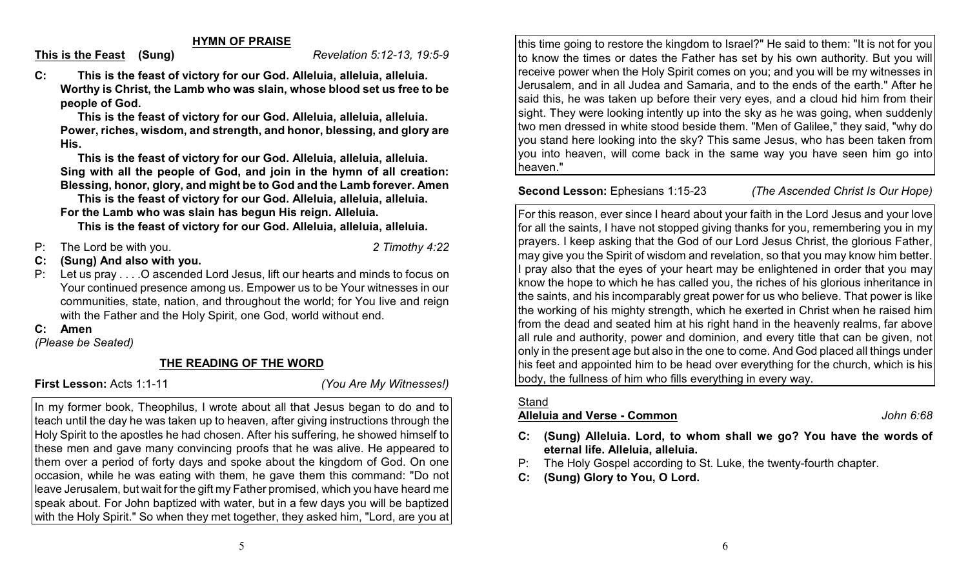**HYMN OF PRAISE**

**This is the Feast (Sung)** *Revelation 5:12-13, 19:5-9*

**C: This is the feast of victory for our God. Alleluia, alleluia, alleluia. Worthy is Christ, the Lamb who was slain, whose blood set us free to be people of God.**

**This is the feast of victory for our God. Alleluia, alleluia, alleluia. Power, riches, wisdom, and strength, and honor, blessing, and glory are His.**

**This is the feast of victory for our God. Alleluia, alleluia, alleluia. Sing with all the people of God, and join in the hymn of all creation: Blessing, honor, glory, and might be to God and the Lamb forever. Amen**

**This is the feast of victory for our God. Alleluia, alleluia, alleluia. For the Lamb who was slain has begun His reign. Alleluia.**

**This is the feast of victory for our God. Alleluia, alleluia, alleluia.**

- P: The Lord be with you. *2 Timothy 4:22*
- 
- **C: (Sung) And also with you.**
- Let us pray . . . . O ascended Lord Jesus, lift our hearts and minds to focus on Your continued presence among us. Empower us to be Your witnesses in our communities, state, nation, and throughout the world; for You live and reign with the Father and the Holy Spirit, one God, world without end.

### **C: Amen**

*(Please be Seated)*

# **THE READING OF THE WORD**

**First Lesson:** Acts 1:1-11 *(You Are My Witnesses!)*

In my former book, Theophilus, I wrote about all that Jesus began to do and to teach until the day he was taken up to heaven, after giving instructions through the Holy Spirit to the apostles he had chosen. After his suffering, he showed himself to these men and gave many convincing proofs that he was alive. He appeared to them over a period of forty days and spoke about the kingdom of God. On one occasion, while he was eating with them, he gave them this command: "Do not leave Jerusalem, but wait for the gift my Father promised, which you have heard me speak about. For John baptized with water, but in a few days you will be baptized with the Holy Spirit." So when they met together, they asked him, "Lord, are you at

this time going to restore the kingdom to Israel?" He said to them: "It is not for you to know the times or dates the Father has set by his own authority. But you will receive power when the Holy Spirit comes on you; and you will be my witnesses in Jerusalem, and in all Judea and Samaria, and to the ends of the earth." After he said this, he was taken up before their very eyes, and a cloud hid him from their sight. They were looking intently up into the sky as he was going, when suddenly two men dressed in white stood beside them. "Men of Galilee," they said, "why do you stand here looking into the sky? This same Jesus, who has been taken from you into heaven, will come back in the same way you have seen him go into heaven."

# **Second Lesson:** Ephesians 1:15-23 *(The Ascended Christ Is Our Hope)*

For this reason, ever since I heard about your faith in the Lord Jesus and your love for all the saints, I have not stopped giving thanks for you, remembering you in my prayers. I keep asking that the God of our Lord Jesus Christ, the glorious Father, may give you the Spirit of wisdom and revelation, so that you may know him better. I pray also that the eyes of your heart may be enlightened in order that you may know the hope to which he has called you, the riches of his glorious inheritance in the saints, and his incomparably great power for us who believe. That power is like the working of his mighty strength, which he exerted in Christ when he raised him from the dead and seated him at his right hand in the heavenly realms, far above all rule and authority, power and dominion, and every title that can be given, not only in the present age but also in the one to come. And God placed all things under his feet and appointed him to be head over everything for the church, which is his body, the fullness of him who fills everything in every way.

# **Stand**

# **Alleluia and Verse - Common** *John 6:68*

- **C: (Sung) Alleluia. Lord, to whom shall we go? You have the words of eternal life. Alleluia, alleluia.**
- P: The Holy Gospel according to St. Luke, the twenty-fourth chapter.
- **C: (Sung) Glory to You, O Lord.**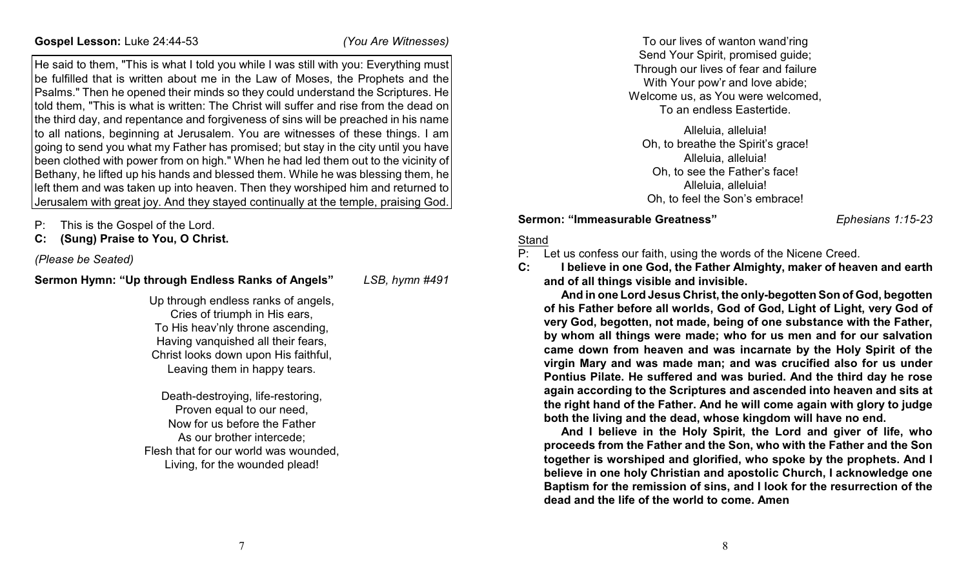He said to them, "This is what I told you while I was still with you: Everything must be fulfilled that is written about me in the Law of Moses, the Prophets and the Psalms." Then he opened their minds so they could understand the Scriptures. He told them, "This is what is written: The Christ will suffer and rise from the dead on the third day, and repentance and forgiveness of sins will be preached in his name to all nations, beginning at Jerusalem. You are witnesses of these things. I am going to send you what my Father has promised; but stay in the city until you have been clothed with power from on high." When he had led them out to the vicinity of Bethany, he lifted up his hands and blessed them. While he was blessing them, he left them and was taken up into heaven. Then they worshiped him and returned to Jerusalem with great joy. And they stayed continually at the temple, praising God.

- P: This is the Gospel of the Lord.
- **C: (Sung) Praise to You, O Christ.**

*(Please be Seated)*

# **Sermon Hymn: "Up through Endless Ranks of Angels"** *LSB, hymn #491*

Up through endless ranks of angels, Cries of triumph in His ears, To His heav'nly throne ascending, Having vanquished all their fears, Christ looks down upon His faithful, Leaving them in happy tears.

Death-destroying, life-restoring, Proven equal to our need, Now for us before the Father As our brother intercede; Flesh that for our world was wounded, Living, for the wounded plead!

To our lives of wanton wand'ring Send Your Spirit, promised guide; Through our lives of fear and failure With Your pow'r and love abide; Welcome us, as You were welcomed, To an endless Eastertide.

Alleluia, alleluia! Oh, to breathe the Spirit's grace! Alleluia, alleluia! Oh, to see the Father's face! Alleluia, alleluia! Oh, to feel the Son's embrace!

#### **Sermon: "Immeasurable Greatness"** *Ephesians 1:15-23*

#### Stand

P: Let us confess our faith, using the words of the Nicene Creed.

**C: I believe in one God, the Father Almighty, maker of heaven and earth and of all things visible and invisible.** 

**And in one Lord Jesus Christ, the only-begotten Son of God, begotten of his Father before all worlds, God of God, Light of Light, very God of very God, begotten, not made, being of one substance with the Father, by whom all things were made; who for us men and for our salvation came down from heaven and was incarnate by the Holy Spirit of the virgin Mary and was made man; and was crucified also for us under Pontius Pilate. He suffered and was buried. And the third day he rose again according to the Scriptures and ascended into heaven and sits at the right hand of the Father. And he will come again with glory to judge both the living and the dead, whose kingdom will have no end.**

**And I believe in the Holy Spirit, the Lord and giver of life, who proceeds from the Father and the Son, who with the Father and the Son together is worshiped and glorified, who spoke by the prophets. And I believe in one holy Christian and apostolic Church, I acknowledge one Baptism for the remission of sins, and I look for the resurrection of the dead and the life of the world to come. Amen**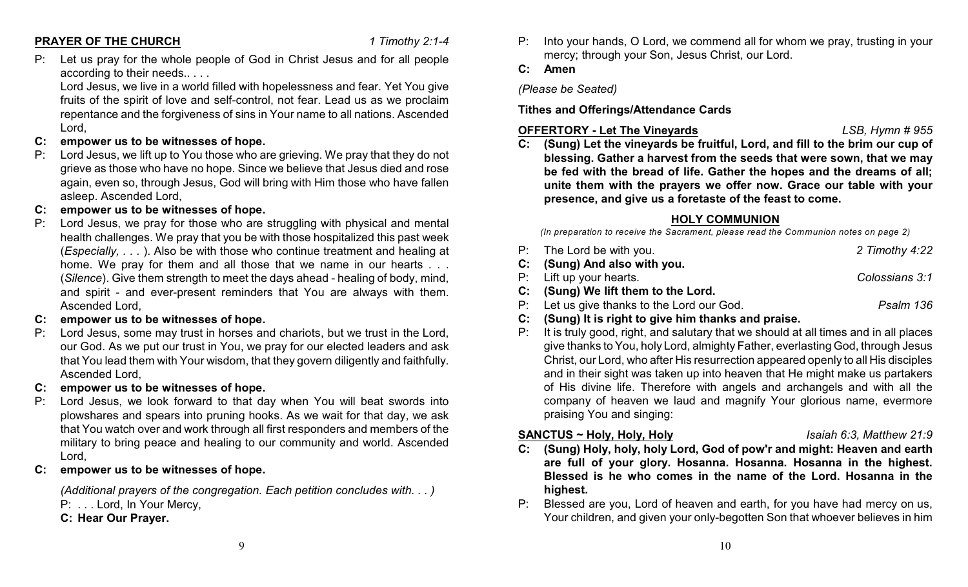#### **PRAYER OF THE CHURCH** *1 Timothy 2:1-4*

P: Let us pray for the whole people of God in Christ Jesus and for all people according to their needs.. . . .

Lord Jesus, we live in a world filled with hopelessness and fear. Yet You give fruits of the spirit of love and self-control, not fear. Lead us as we proclaim repentance and the forgiveness of sins in Your name to all nations. Ascended Lord,

- **C: empower us to be witnesses of hope.**
- P: Lord Jesus, we lift up to You those who are grieving. We pray that they do not grieve as those who have no hope. Since we believe that Jesus died and rose again, even so, through Jesus, God will bring with Him those who have fallen asleep. Ascended Lord,
- **C: empower us to be witnesses of hope.**
- Lord Jesus, we pray for those who are struggling with physical and mental health challenges. We pray that you be with those hospitalized this past week (*Especially, . . .* ). Also be with those who continue treatment and healing at home. We pray for them and all those that we name in our hearts . . . (*Silence*). Give them strength to meet the days ahead - healing of body, mind, and spirit - and ever-present reminders that You are always with them. Ascended Lord,
- **C: empower us to be witnesses of hope.**
- Lord Jesus, some may trust in horses and chariots, but we trust in the Lord, our God. As we put our trust in You, we pray for our elected leaders and ask that You lead them with Your wisdom, that they govern diligently and faithfully. Ascended Lord,
- **C: empower us to be witnesses of hope.**
- P: Lord Jesus, we look forward to that day when You will beat swords into plowshares and spears into pruning hooks. As we wait for that day, we ask that You watch over and work through all first responders and members of the military to bring peace and healing to our community and world. Ascended Lord,
- **C: empower us to be witnesses of hope.**

*(Additional prayers of the congregation. Each petition concludes with. . . )* P: ... Lord, In Your Mercy,

**C: Hear Our Prayer.**

P: Into your hands, O Lord, we commend all for whom we pray, trusting in your mercy; through your Son, Jesus Christ, our Lord.

# **C: Amen**

*(Please be Seated)*

**Tithes and Offerings/Attendance Cards**

# **OFFERTORY - Let The Vineyards** *LSB, Hymn # 955*

**C: (Sung) Let the vineyards be fruitful, Lord, and fill to the brim our cup of blessing. Gather a harvest from the seeds that were sown, that we may be fed with the bread of life. Gather the hopes and the dreams of all; unite them with the prayers we offer now. Grace our table with your presence, and give us a foretaste of the feast to come.**

# **HOLY COMMUNION**

*(In preparation to receive the Sacrament, please read the Communion notes on page 2)*

| P: The Lord be with you.                   | 2 Timothy 4:22 |
|--------------------------------------------|----------------|
| C: (Sung) And also with you.               |                |
| P: Lift up your hearts.                    | Colossians 3:1 |
| C: (Sung) We lift them to the Lord.        |                |
| P: Let us give thanks to the Lord our God. | Psalm 136      |
|                                            |                |

- **C: (Sung) It is right to give him thanks and praise.**
- P: It is truly good, right, and salutary that we should at all times and in all places give thanks to You, holy Lord, almighty Father, everlasting God, through Jesus Christ, our Lord, who after His resurrection appeared openly to all His disciples and in their sight was taken up into heaven that He might make us partakers of His divine life. Therefore with angels and archangels and with all the company of heaven we laud and magnify Your glorious name, evermore praising You and singing:

# **SANCTUS ~ Holy, Holy, Holy** *Isaiah 6:3, Matthew 21:9*

- **C: (Sung) Holy, holy, holy Lord, God of pow'r and might: Heaven and earth are full of your glory. Hosanna. Hosanna. Hosanna in the highest. Blessed is he who comes in the name of the Lord. Hosanna in the highest.**
- P: Blessed are you, Lord of heaven and earth, for you have had mercy on us, Your children, and given your only-begotten Son that whoever believes in him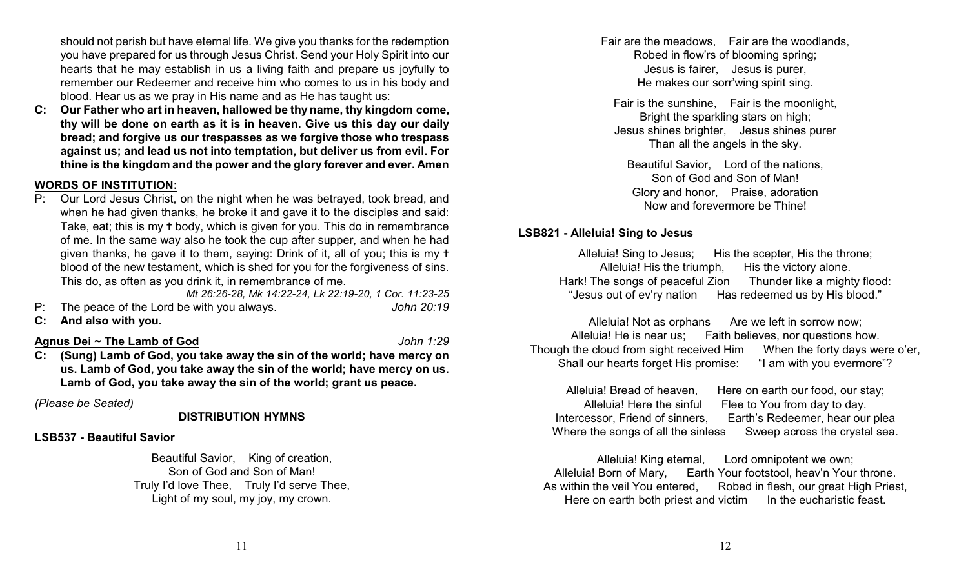should not perish but have eternal life. We give you thanks for the redemption you have prepared for us through Jesus Christ. Send your Holy Spirit into our hearts that he may establish in us a living faith and prepare us joyfully to remember our Redeemer and receive him who comes to us in his body and blood. Hear us as we pray in His name and as He has taught us:

**C: Our Father who art in heaven, hallowed be thy name, thy kingdom come, thy will be done on earth as it is in heaven. Give us this day our daily bread; and forgive us our trespasses as we forgive those who trespass against us; and lead us not into temptation, but deliver us from evil. For thine is the kingdom and the power and the glory forever and ever. Amen**

### **WORDS OF INSTITUTION:**

P: Our Lord Jesus Christ, on the night when he was betrayed, took bread, and when he had given thanks, he broke it and gave it to the disciples and said: Take, eat; this is my t body, which is given for you. This do in remembrance of me. In the same way also he took the cup after supper, and when he had given thanks, he gave it to them, saying: Drink of it, all of you; this is my  $\dagger$ blood of the new testament, which is shed for you for the forgiveness of sins. This do, as often as you drink it, in remembrance of me. *Mt 26:26-28, Mk 14:22-24, Lk 22:19-20, 1 Cor. 11:23-25*

P: The peace of the Lord be with you always. *John 20:19*

**C: And also with you.**

#### **Agnus Dei ~ The Lamb of God** *John 1:29*

**C: (Sung) Lamb of God, you take away the sin of the world; have mercy on us. Lamb of God, you take away the sin of the world; have mercy on us. Lamb of God, you take away the sin of the world; grant us peace.**

*(Please be Seated)*

#### **DISTRIBUTION HYMNS**

#### **LSB537 - Beautiful Savior**

Beautiful Savior, King of creation, Son of God and Son of Man! Truly I'd love Thee, Truly I'd serve Thee, Light of my soul, my joy, my crown.

Fair are the meadows, Fair are the woodlands, Robed in flow'rs of blooming spring; Jesus is fairer, Jesus is purer, He makes our sorr'wing spirit sing.

Fair is the sunshine, Fair is the moonlight, Bright the sparkling stars on high; Jesus shines brighter, Jesus shines purer Than all the angels in the sky.

Beautiful Savior, Lord of the nations, Son of God and Son of Man! Glory and honor, Praise, adoration Now and forevermore be Thine!

#### **LSB821 - Alleluia! Sing to Jesus**

Alleluia! Sing to Jesus: His the scepter, His the throne; Alleluia! His the triumph, His the victory alone.<br>he songs of peaceful Zion Thunder like a mighty flood: Hark! The songs of peaceful Zion "Jesus out of ev'ry nation Has redeemed us by His blood."

Alleluia! Not as orphans Are we left in sorrow now; Alleluia! He is near us; Faith believes, nor questions how. Though the cloud from sight received Him When the forty days were o'er, Shall our hearts forget His promise: "I am with you evermore"?

Alleluia! Bread of heaven, Here on earth our food, our stay; Alleluia! Here the sinful Flee to You from day to day. Intercessor, Friend of sinners, Earth's Redeemer, hear our plea Where the songs of all the sinless Sweep across the crystal sea.

Alleluia! King eternal, Lord omnipotent we own; Alleluia! Born of Mary, Earth Your footstool, heav'n Your throne. As within the veil You entered, Robed in flesh, our great High Priest, Here on earth both priest and victim In the eucharistic feast.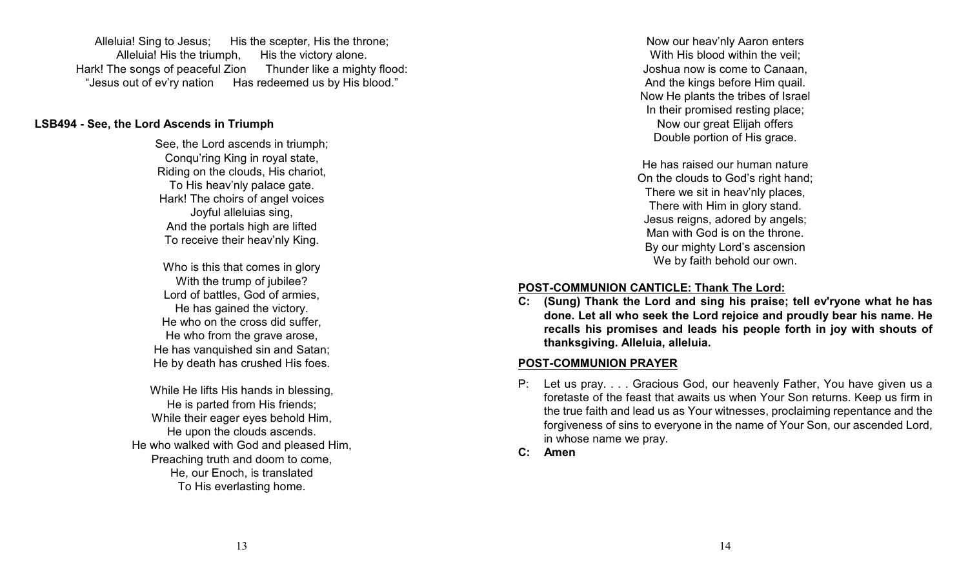Alleluia! Sing to Jesus; His the scepter, His the throne; Alleluia! His the triumph. His the victory alone. Hark! The songs of peaceful Zion Thunder like a mighty flood: "Jesus out of ev'ry nation Has redeemed us by His blood."

#### **LSB494 - See, the Lord Ascends in Triumph**

See, the Lord ascends in triumph; Conqu'ring King in royal state, Riding on the clouds, His chariot, To His heav'nly palace gate. Hark! The choirs of angel voices Joyful alleluias sing, And the portals high are lifted To receive their heav'nly King.

Who is this that comes in glory With the trump of jubilee? Lord of battles, God of armies, He has gained the victory. He who on the cross did suffer, He who from the grave arose, He has vanquished sin and Satan; He by death has crushed His foes.

While He lifts His hands in blessing, He is parted from His friends; While their eager eyes behold Him, He upon the clouds ascends. He who walked with God and pleased Him, Preaching truth and doom to come, He, our Enoch, is translated To His everlasting home.

Now our heav'nly Aaron enters With His blood within the veil: Joshua now is come to Canaan, And the kings before Him quail. Now He plants the tribes of Israel In their promised resting place; Now our great Elijah offers Double portion of His grace.

He has raised our human nature On the clouds to God's right hand; There we sit in heav'nly places, There with Him in glory stand. Jesus reigns, adored by angels; Man with God is on the throne. By our mighty Lord's ascension We by faith behold our own.

#### **POST-COMMUNION CANTICLE: Thank The Lord:**

**C: (Sung) Thank the Lord and sing his praise; tell ev'ryone what he has done. Let all who seek the Lord rejoice and proudly bear his name. He recalls his promises and leads his people forth in joy with shouts of thanksgiving. Alleluia, alleluia.**

#### **POST-COMMUNION PRAYER**

- P: Let us pray. . . . Gracious God, our heavenly Father, You have given us a foretaste of the feast that awaits us when Your Son returns. Keep us firm in the true faith and lead us as Your witnesses, proclaiming repentance and the forgiveness of sins to everyone in the name of Your Son, our ascended Lord, in whose name we pray.
- **C: Amen**